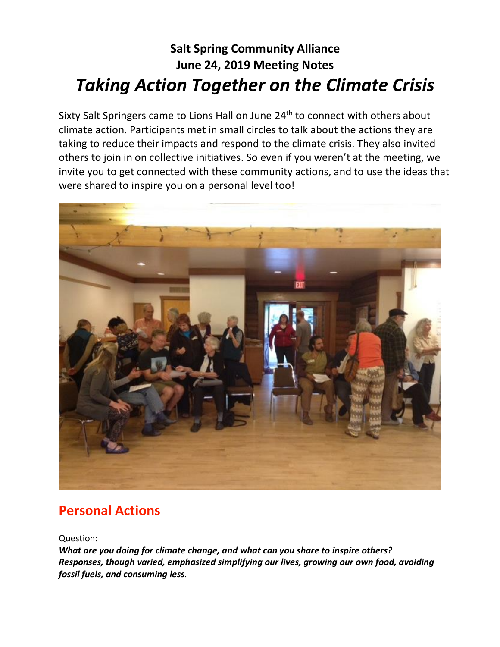# **Salt Spring Community Alliance June 24, 2019 Meeting Notes** *Taking Action Together on the Climate Crisis*

Sixty Salt Springers came to Lions Hall on June 24<sup>th</sup> to connect with others about climate action. Participants met in small circles to talk about the actions they are taking to reduce their impacts and respond to the climate crisis. They also invited others to join in on collective initiatives. So even if you weren't at the meeting, we invite you to get connected with these community actions, and to use the ideas that were shared to inspire you on a personal level too!



# **Personal Actions**

Question:

*What are you doing for climate change, and what can you share to inspire others? Responses, though varied, emphasized simplifying our lives, growing our own food, avoiding fossil fuels, and consuming less.*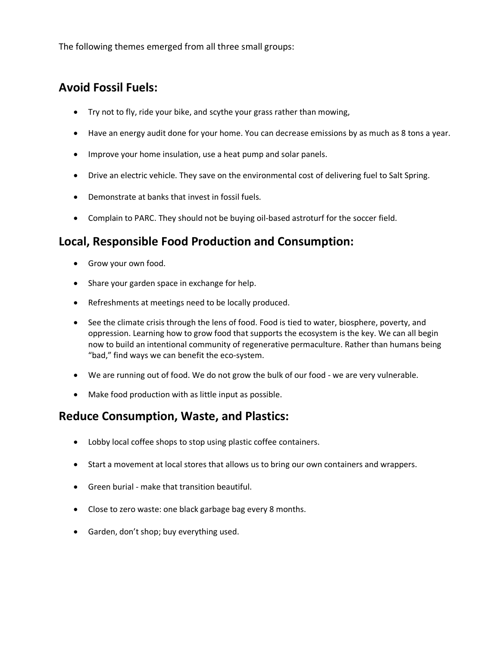The following themes emerged from all three small groups:

## **Avoid Fossil Fuels:**

- Try not to fly, ride your bike, and scythe your grass rather than mowing,
- Have an energy audit done for your home. You can decrease emissions by as much as 8 tons a year.
- Improve your home insulation, use a heat pump and solar panels.
- Drive an electric vehicle. They save on the environmental cost of delivering fuel to Salt Spring.
- Demonstrate at banks that invest in fossil fuels.
- Complain to PARC. They should not be buying oil-based astroturf for the soccer field.

### **Local, Responsible Food Production and Consumption:**

- Grow your own food.
- Share your garden space in exchange for help.
- Refreshments at meetings need to be locally produced.
- See the climate crisis through the lens of food. Food is tied to water, biosphere, poverty, and oppression. Learning how to grow food that supports the ecosystem is the key. We can all begin now to build an intentional community of regenerative permaculture. Rather than humans being "bad," find ways we can benefit the eco-system.
- We are running out of food. We do not grow the bulk of our food we are very vulnerable.
- Make food production with as little input as possible.

### **Reduce Consumption, Waste, and Plastics:**

- Lobby local coffee shops to stop using plastic coffee containers.
- Start a movement at local stores that allows us to bring our own containers and wrappers.
- Green burial make that transition beautiful.
- Close to zero waste: one black garbage bag every 8 months.
- Garden, don't shop; buy everything used.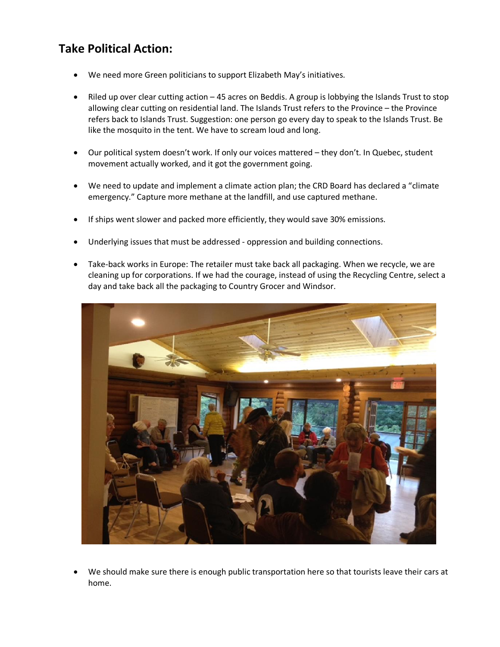## **Take Political Action:**

- We need more Green politicians to support Elizabeth May's initiatives.
- Riled up over clear cutting action 45 acres on Beddis. A group is lobbying the Islands Trust to stop allowing clear cutting on residential land. The Islands Trust refers to the Province – the Province refers back to Islands Trust. Suggestion: one person go every day to speak to the Islands Trust. Be like the mosquito in the tent. We have to scream loud and long.
- Our political system doesn't work. If only our voices mattered they don't. In Quebec, student movement actually worked, and it got the government going.
- We need to update and implement a climate action plan; the CRD Board has declared a "climate emergency." Capture more methane at the landfill, and use captured methane.
- If ships went slower and packed more efficiently, they would save 30% emissions.
- Underlying issues that must be addressed oppression and building connections.
- Take-back works in Europe: The retailer must take back all packaging. When we recycle, we are cleaning up for corporations. If we had the courage, instead of using the Recycling Centre, select a day and take back all the packaging to Country Grocer and Windsor.



• We should make sure there is enough public transportation here so that tourists leave their cars at home.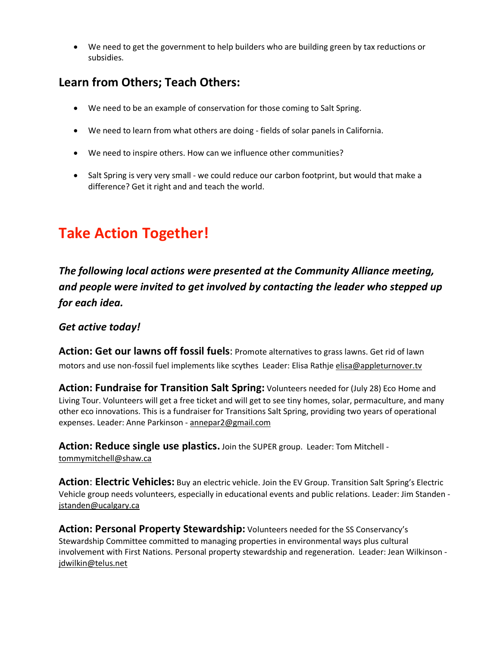• We need to get the government to help builders who are building green by tax reductions or subsidies.

## **Learn from Others; Teach Others:**

- We need to be an example of conservation for those coming to Salt Spring.
- We need to learn from what others are doing fields of solar panels in California.
- We need to inspire others. How can we influence other communities?
- Salt Spring is very very small we could reduce our carbon footprint, but would that make a difference? Get it right and and teach the world.

# **Take Action Together!**

*The following local actions were presented at the Community Alliance meeting, and people were invited to get involved by contacting the leader who stepped up for each idea.*

#### *Get active today!*

**Action: Get our lawns off fossil fuels**: Promote alternatives to grass lawns. Get rid of lawn motors and use non-fossil fuel implements like scythes Leader: Elisa Rathje [elisa@appleturnover.tv](mailto:elisa@appleturnover.tv)

**Action: Fundraise for Transition Salt Spring:** Volunteers needed for (July 28) Eco Home and Living Tour. Volunteers will get a free ticket and will get to see tiny homes, solar, permaculture, and many other eco innovations. This is a fundraiser for Transitions Salt Spring, providing two years of operational expenses. Leader: Anne Parkinson - [annepar2@gmail.com](mailto:annepar2@gmail.com)

**Action: Reduce single use plastics.** Join the SUPER group. Leader: Tom Mitchell [tommymitchell@shaw.ca](mailto:tommymitchell@shaw.ca)

**Action**: **Electric Vehicles:** Buy an electric vehicle. Join the EV Group. Transition Salt Spring's Electric Vehicle group needs volunteers, especially in educational events and public relations. Leader: Jim Standen [jstanden@ucalgary.ca](mailto:jstanden@ucalgary.ca)

**Action: Personal Property Stewardship:** Volunteers needed for the SS Conservancy's Stewardship Committee committed to managing properties in environmental ways plus cultural involvement with First Nations. Personal property stewardship and regeneration. Leader: Jean Wilkinson [jdwilkin@telus.net](mailto:jdwilkin@telus.net)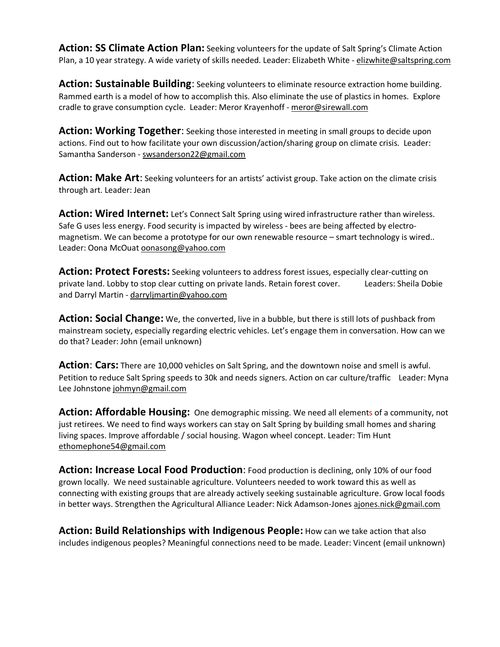**Action: SS Climate Action Plan:** Seeking volunteers for the update of Salt Spring's Climate Action Plan, a 10 year strategy. A wide variety of skills needed. Leader: Elizabeth White - [elizwhite@saltspring.com](mailto:elizwhite@saltspring.com)

**Action: Sustainable Building**: Seeking volunteers to eliminate resource extraction home building. Rammed earth is a model of how to accomplish this. Also eliminate the use of plastics in homes. Explore cradle to grave consumption cycle. Leader: Meror Krayenhoff - [meror@sirewall.com](mailto:meror@sirewall.com)

**Action: Working Together**: Seeking those interested in meeting in small groups to decide upon actions. Find out to how facilitate your own discussion/action/sharing group on climate crisis. Leader: Samantha Sanderson - [swsanderson22@gmail.com](mailto:swsanderson22@gmail.com)

**Action: Make Art**: Seeking volunteers for an artists' activist group. Take action on the climate crisis through art. Leader: Jean

**Action: Wired Internet:** Let's Connect Salt Spring using wired infrastructure rather than wireless. Safe G uses less energy. Food security is impacted by wireless - bees are being affected by electromagnetism. We can become a prototype for our own renewable resource – smart technology is wired.. Leader: Oona McOuat [oonasong@yahoo.com](mailto:oonasong@yahoo.com)

**Action: Protect Forests:** Seeking volunteers to address forest issues, especially clear-cutting on private land. Lobby to stop clear cutting on private lands. Retain forest cover. Leaders: Sheila Dobie and Darryl Martin - [darryljmartin@yahoo.com](mailto:darryljmartin@yahoo.com)

**Action: Social Change:** We, the converted, live in a bubble, but there is still lots of pushback from mainstream society, especially regarding electric vehicles. Let's engage them in conversation. How can we do that? Leader: John (email unknown)

**Action**: **Cars:** There are 10,000 vehicles on Salt Spring, and the downtown noise and smell is awful. Petition to reduce Salt Spring speeds to 30k and needs signers. Action on car culture/traffic Leader: Myna Lee Johnstone [johmyn@gmail.com](mailto:johmyn@gmail.com)

**Action: Affordable Housing:** One demographic missing. We need all elements of a community, not just retirees. We need to find ways workers can stay on Salt Spring by building small homes and sharing living spaces. Improve affordable / social housing. Wagon wheel concept. Leader: Tim Hunt [ethomephone54@gmail.com](mailto:ethomephone54@gmail.com)

**Action: Increase Local Food Production**: Food production is declining, only 10% of our food grown locally. We need sustainable agriculture. Volunteers needed to work toward this as well as connecting with existing groups that are already actively seeking sustainable agriculture. Grow local foods in better ways. Strengthen the Agricultural Alliance Leader: Nick Adamson-Jones [ajones.nick@gmail.com](mailto:ajones.nick@gmail.com)

**Action: Build Relationships with Indigenous People:** How can we take action that also includes indigenous peoples? Meaningful connections need to be made. Leader: Vincent (email unknown)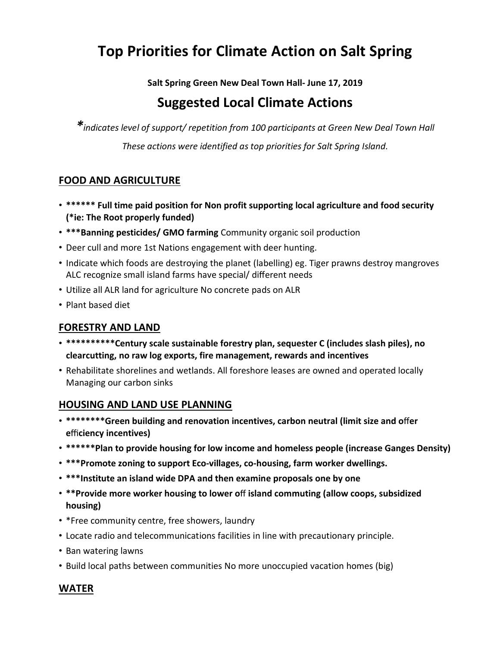# **Top Priorities for Climate Action on Salt Spring**

**Salt Spring Green New Deal Town Hall- June 17, 2019**

## **Suggested Local Climate Actions**

*\*indicates level of support/ repetition from <sup>100</sup> participants at Green New Deal Town Hall These actions were identified as top priorities for Salt Spring Island.*

#### **FOOD AND AGRICULTURE**

- **\*\*\*\*\*\* Full time paid position for Non profit supporting local agriculture and food security (\*ie: The Root properly funded)**
- **\*\*\*Banning pesticides/ GMO farming** Community organic soil production
- Deer cull and more 1st Nations engagement with deer hunting.
- Indicate which foods are destroying the planet (labelling) eg. Tiger prawns destroy mangroves ALC recognize small island farms have special/ different needs
- Utilize all ALR land for agriculture No concrete pads on ALR
- Plant based diet

#### **FORESTRY AND LAND**

- **\*\*\*\*\*\*\*\*\*\*Century scale sustainable forestry plan, sequester C (includes slash piles), no clearcutting, no raw log exports, fire management, rewards and incentives**
- Rehabilitate shorelines and wetlands. All foreshore leases are owned and operated locally Managing our carbon sinks

#### **HOUSING AND LAND USE PLANNING**

- **\*\*\*\*\*\*\*\*Green building and renovation incentives, carbon neutral (limit size and o**ff**er e**ffi**ciency incentives)**
- **\*\*\*\*\*\*Plan to provide housing for low income and homeless people (increase Ganges Density)**
- **\*\*\*Promote zoning to support Eco-villages, co-housing, farm worker dwellings.**
- **\*\*\*Institute an island wide DPA and then examine proposals one by one**
- **\*\*Provide more worker housing to lower o**ff **island commuting (allow coops, subsidized housing)**
- \*Free community centre, free showers, laundry
- Locate radio and telecommunications facilities in line with precautionary principle.
- Ban watering lawns
- Build local paths between communities No more unoccupied vacation homes (big)

#### **WATER**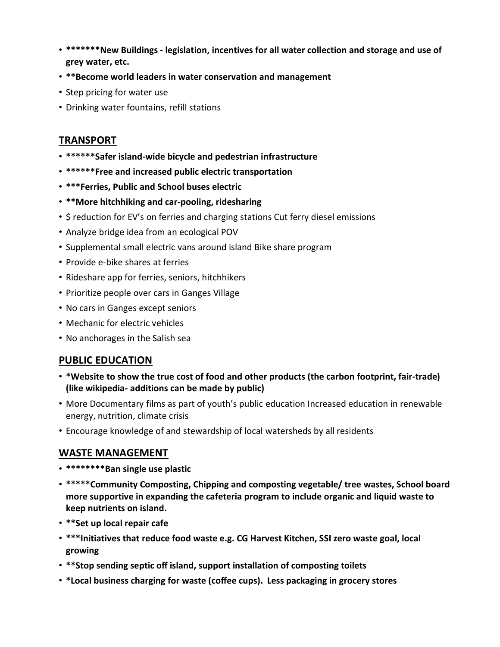- **\*\*\*\*\*\*\*New Buildings - legislation, incentives for all water collection and storage and use of grey water, etc.**
- **\*\*Become world leaders in water conservation and management**
- Step pricing for water use
- Drinking water fountains, refill stations

#### **TRANSPORT**

- **\*\*\*\*\*\*Safer island-wide bicycle and pedestrian infrastructure**
- **\*\*\*\*\*\*Free and increased public electric transportation**
- **\*\*\*Ferries, Public and School buses electric**
- **\*\*More hitchhiking and car-pooling, ridesharing**
- \$ reduction for EV's on ferries and charging stations Cut ferry diesel emissions
- Analyze bridge idea from an ecological POV
- Supplemental small electric vans around island Bike share program
- Provide e-bike shares at ferries
- Rideshare app for ferries, seniors, hitchhikers
- Prioritize people over cars in Ganges Village
- No cars in Ganges except seniors
- Mechanic for electric vehicles
- No anchorages in the Salish sea

#### **PUBLIC EDUCATION**

- **\*Website to show the true cost of food and other products (the carbon footprint, fair-trade) (like wikipedia- additions can be made by public)**
- More Documentary films as part of youth's public education Increased education in renewable energy, nutrition, climate crisis
- Encourage knowledge of and stewardship of local watersheds by all residents

#### **WASTE MANAGEMENT**

- **\*\*\*\*\*\*\*\*Ban single use plastic**
- **\*\*\*\*\*Community Composting, Chipping and composting vegetable/ tree wastes, School board more supportive in expanding the cafeteria program to include organic and liquid waste to keep nutrients on island.**
- **\*\*Set up local repair cafe**
- **\*\*\*Initiatives that reduce food waste e.g. CG Harvest Kitchen, SSI zero waste goal, local growing**
- **\*\*Stop sending septic off island, support installation of composting toilets**
- **\*Local business charging for waste (coffee cups). Less packaging in grocery stores**